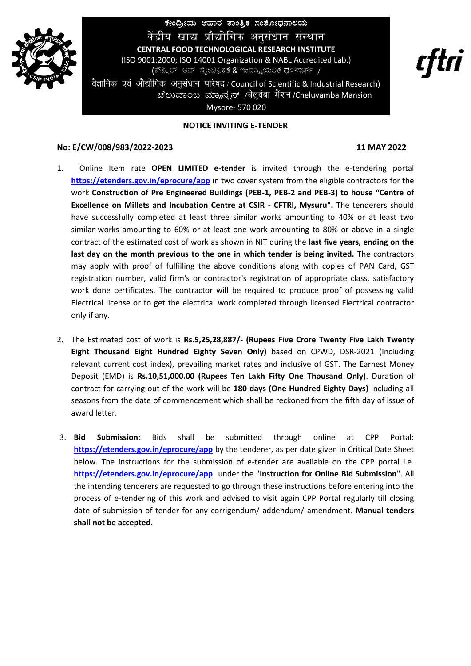

ಕೇಂದ್ರೀಯ ಆಹಾರ ತಾಂತ್ರಿಕ ಸಂಶೋಧನಾಲಯ कें द्रीय खाद्य प्रौद्योगिक अनुसंधान संस्थान **CENTRAL FOOD TECHNOLOGICAL RESEARCH INSTITUTE** (ISO 9001:2000; ISO 14001 Organization & NABL Accredited Lab.) (ಕೌನ್ಸಿಲ್ ಆಫ್ ಸೈಂಟಿಫಿಕ್ & ಇಂಡಸ್ಟ್ರಿಯಲ್ ರ*ಿಸರ್ಚ್ <sub>/</sub>* 

वैज्ञानिक एवं औद्योगिक अनुसंधान परिषद / Council of Scientific & Industrial Research) ಚೆಲುವಾಂಬ ಮ್ಯಾನ್ಷನ್ /चेलुवंबा मैंशन/Cheluvamba Mansion Mysore- 570 020

## **NOTICE INVITING E-TENDER**

## **No: E/CW/008/983/2022-2023 11 MAY 2022**

- 1. Online Item rate **OPEN LIMITED e-tender** is invited through the e-tendering portal **<https://etenders.gov.in/eprocure/app>** in two cover system from the eligible contractors for the work **Construction of Pre Engineered Buildings (PEB-1, PEB-2 and PEB-3) to house "Centre of Excellence on Millets and Incubation Centre at CSIR - CFTRI, Mysuru".** The tenderers should have successfully completed at least three similar works amounting to 40% or at least two similar works amounting to 60% or at least one work amounting to 80% or above in a single contract of the estimated cost of work as shown in NIT during the **last five years, ending on the last day on the month previous to the one in which tender is being invited.** The contractors may apply with proof of fulfilling the above conditions along with copies of PAN Card, GST registration number, valid firm's or contractor's registration of appropriate class, satisfactory work done certificates. The contractor will be required to produce proof of possessing valid Electrical license or to get the electrical work completed through licensed Electrical contractor only if any.
- 2. The Estimated cost of work is **Rs.5,25,28,887/- (Rupees Five Crore Twenty Five Lakh Twenty Eight Thousand Eight Hundred Eighty Seven Only)** based on CPWD, DSR-2021 (Including relevant current cost index), prevailing market rates and inclusive of GST. The Earnest Money Deposit (EMD) is **Rs.10,51,000.00 (Rupees Ten Lakh Fifty One Thousand Only)**. Duration of contract for carrying out of the work will be **180 days (One Hundred Eighty Days)** including all seasons from the date of commencement which shall be reckoned from the fifth day of issue of award letter.
- 3. **Bid Submission:** Bids shall be submitted through online at CPP Portal: **<https://etenders.gov.in/eprocure/app>** by the tenderer, as per date given in Critical Date Sheet below. The instructions for the submission of e-tender are available on the CPP portal i.e. **<https://etenders.gov.in/eprocure/app>** under the "**Instruction for Online Bid Submission**". All the intending tenderers are requested to go through these instructions before entering into the process of e-tendering of this work and advised to visit again CPP Portal regularly till closing date of submission of tender for any corrigendum/ addendum/ amendment. **Manual tenders shall not be accepted.**